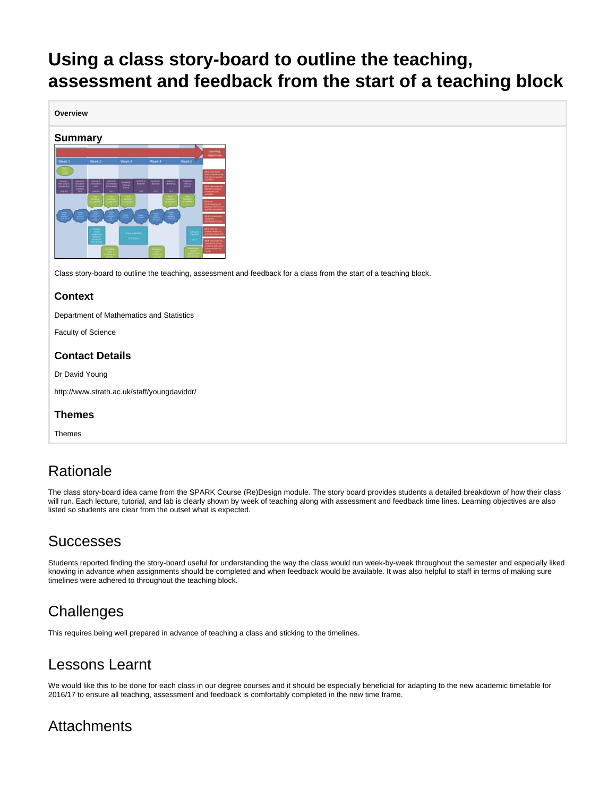# <span id="page-0-0"></span>**Using a class story-board to outline the teaching, assessment and feedback from the start of a teaching block**

**Overview**

#### **Summary**



Class story-board to outline the teaching, assessment and feedback for a class from the start of a teaching block.

#### **Context**

Department of Mathematics and Statistics

Faculty of Science

#### **Contact Details**

Dr David Young

http://www.strath.ac.uk/staff/youngdaviddr/

#### **Themes**

Themes

### Rationale

The class story-board idea came from the SPARK Course (Re)Design module. The story board provides students a detailed breakdown of how their class will run. Each lecture, tutorial, and lab is clearly shown by week of teaching along with assessment and feedback time lines. Learning objectives are also listed so students are clear from the outset what is expected.

### **Successes**

Students reported finding the story-board useful for understanding the way the class would run week-by-week throughout the semester and especially liked knowing in advance when assignments should be completed and when feedback would be available. It was also helpful to staff in terms of making sure timelines were adhered to throughout the teaching block.

## **Challenges**

This requires being well prepared in advance of teaching a class and sticking to the timelines.

### Lessons Learnt

We would like this to be done for each class in our degree courses and it should be especially beneficial for adapting to the new academic timetable for 2016/17 to ensure all teaching, assessment and feedback is comfortably completed in the new time frame.

### **Attachments**